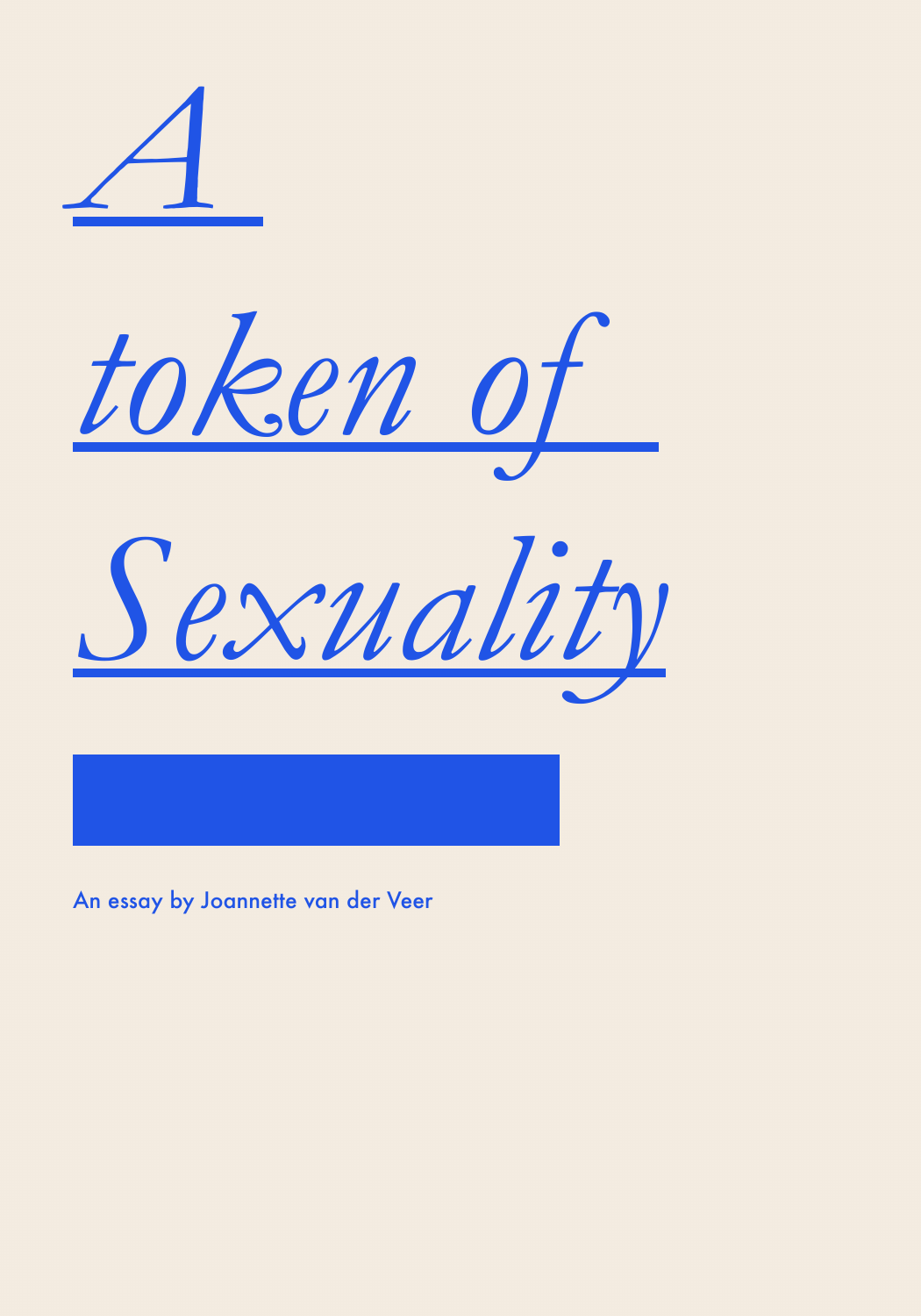





An essay by Joannette van der Veer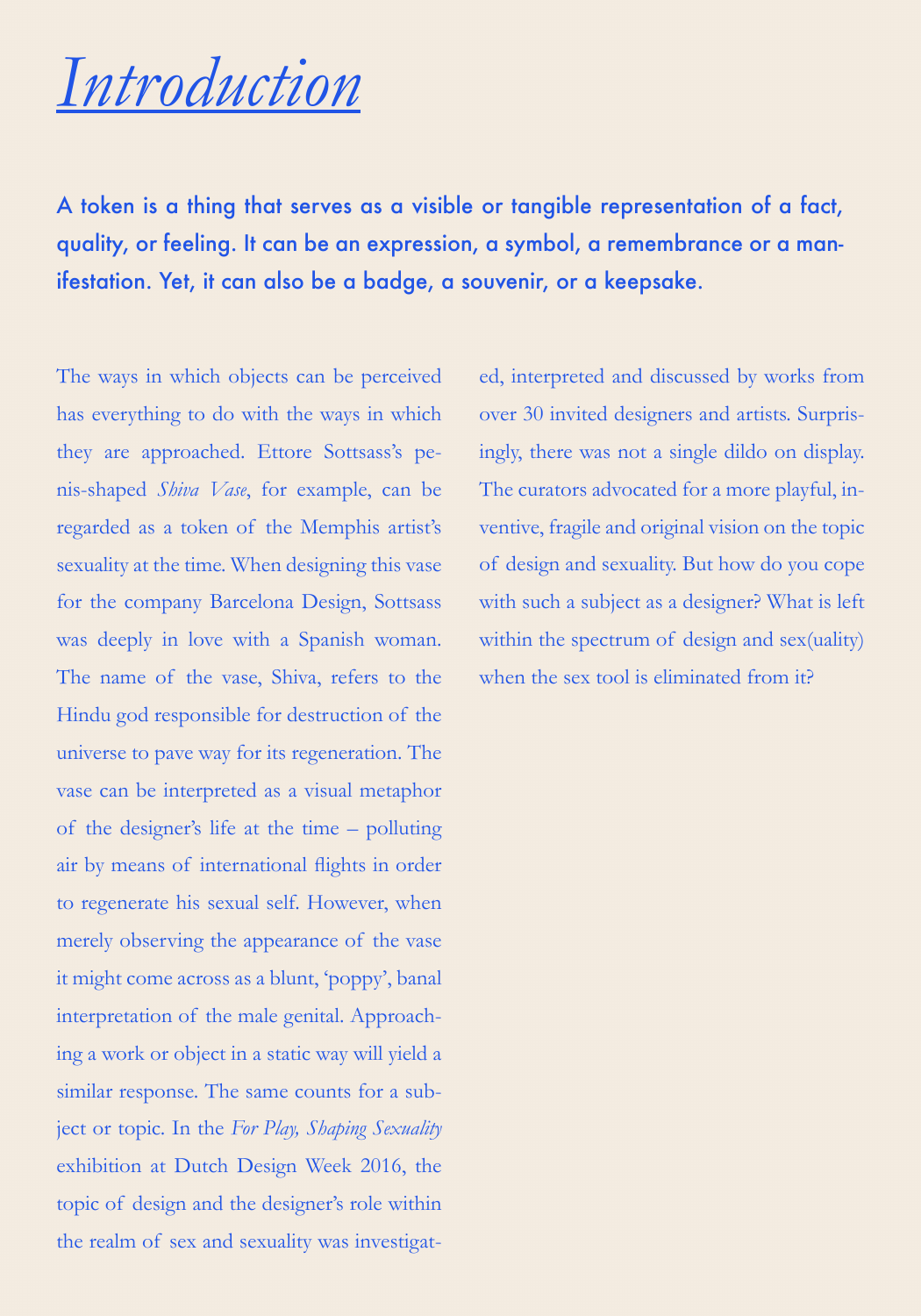## *Introduction*

A token is a thing that serves as a visible or tangible representation of a fact, quality, or feeling. It can be an expression, a symbol, a remembrance or a manifestation. Yet, it can also be a badge, a souvenir, or a keepsake.

The ways in which objects can be perceived has everything to do with the ways in which they are approached. Ettore Sottsass's penis-shaped *Shiva Vase*, for example, can be regarded as a token of the Memphis artist's sexuality at the time. When designing this vase for the company Barcelona Design, Sottsass was deeply in love with a Spanish woman. The name of the vase, Shiva, refers to the Hindu god responsible for destruction of the universe to pave way for its regeneration. The vase can be interpreted as a visual metaphor of the designer's life at the time – polluting air by means of international flights in order to regenerate his sexual self. However, when merely observing the appearance of the vase it might come across as a blunt, 'poppy', banal interpretation of the male genital. Approaching a work or object in a static way will yield a similar response. The same counts for a subject or topic. In the *For Play, Shaping Sexuality*  exhibition at Dutch Design Week 2016, the topic of design and the designer's role within the realm of sex and sexuality was investigat-

ed, interpreted and discussed by works from over 30 invited designers and artists. Surprisingly, there was not a single dildo on display. The curators advocated for a more playful, inventive, fragile and original vision on the topic of design and sexuality. But how do you cope with such a subject as a designer? What is left within the spectrum of design and sex(uality) when the sex tool is eliminated from it?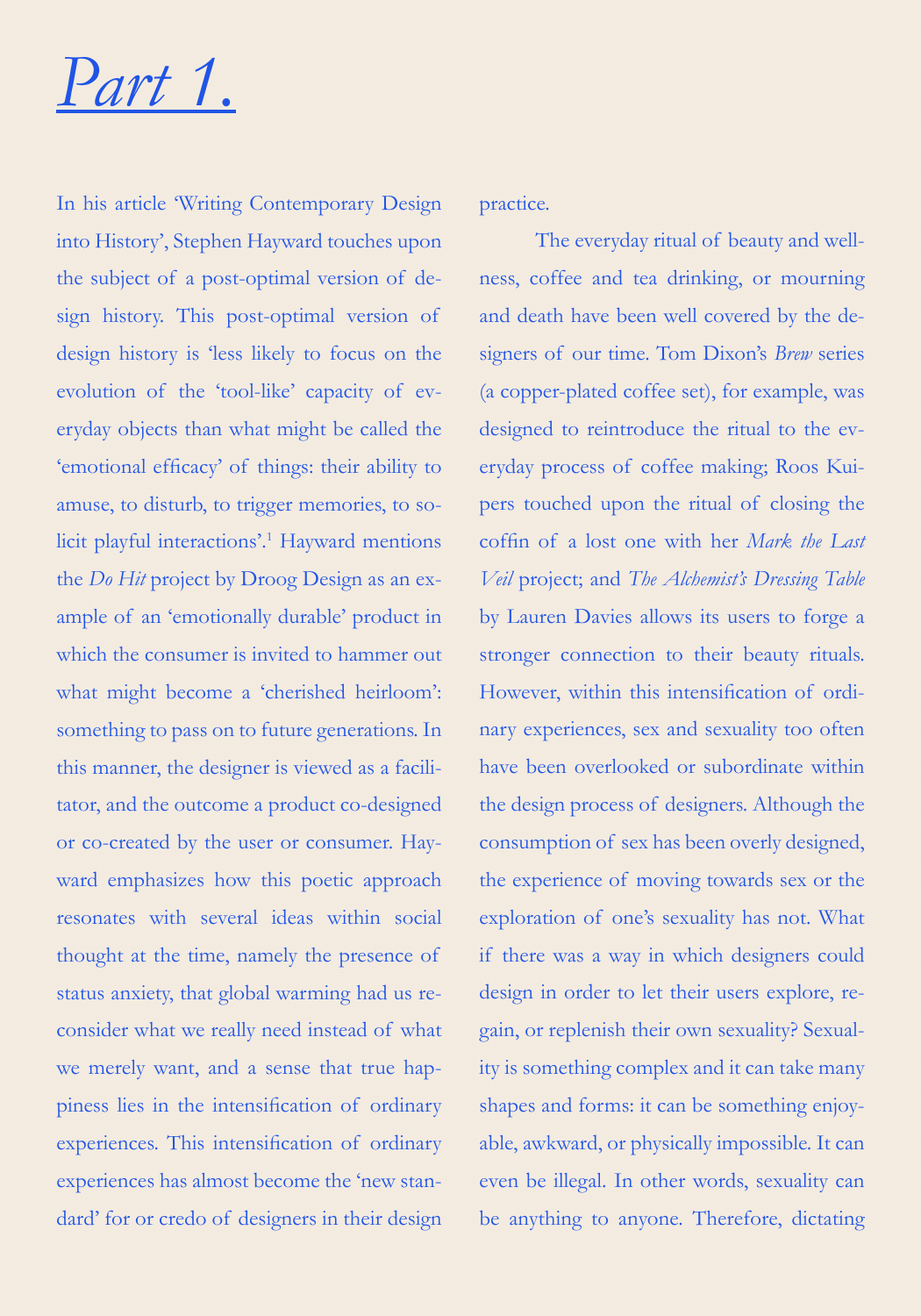## *Part 1.*

In his article 'Writing Contemporary Design into History', Stephen Hayward touches upon the subject of a post-optimal version of design history. This post-optimal version of design history is 'less likely to focus on the evolution of the 'tool-like' capacity of everyday objects than what might be called the 'emotional efficacy' of things: their ability to amuse, to disturb, to trigger memories, to solicit playful interactions'.1 Hayward mentions the *Do Hit* project by Droog Design as an example of an 'emotionally durable' product in which the consumer is invited to hammer out what might become a 'cherished heirloom': something to pass on to future generations. In this manner, the designer is viewed as a facilitator, and the outcome a product co-designed or co-created by the user or consumer. Hayward emphasizes how this poetic approach resonates with several ideas within social thought at the time, namely the presence of status anxiety, that global warming had us reconsider what we really need instead of what we merely want, and a sense that true happiness lies in the intensification of ordinary experiences. This intensification of ordinary experiences has almost become the 'new standard' for or credo of designers in their design

practice.

The everyday ritual of beauty and wellness, coffee and tea drinking, or mourning and death have been well covered by the designers of our time. Tom Dixon's *Brew* series (a copper-plated coffee set), for example, was designed to reintroduce the ritual to the everyday process of coffee making; Roos Kuipers touched upon the ritual of closing the coffin of a lost one with her *Mark the Last Veil* project; and *The Alchemist's Dressing Table*  by Lauren Davies allows its users to forge a stronger connection to their beauty rituals. However, within this intensification of ordinary experiences, sex and sexuality too often have been overlooked or subordinate within the design process of designers. Although the consumption of sex has been overly designed, the experience of moving towards sex or the exploration of one's sexuality has not. What if there was a way in which designers could design in order to let their users explore, regain, or replenish their own sexuality? Sexuality is something complex and it can take many shapes and forms: it can be something enjoyable, awkward, or physically impossible. It can even be illegal. In other words, sexuality can be anything to anyone. Therefore, dictating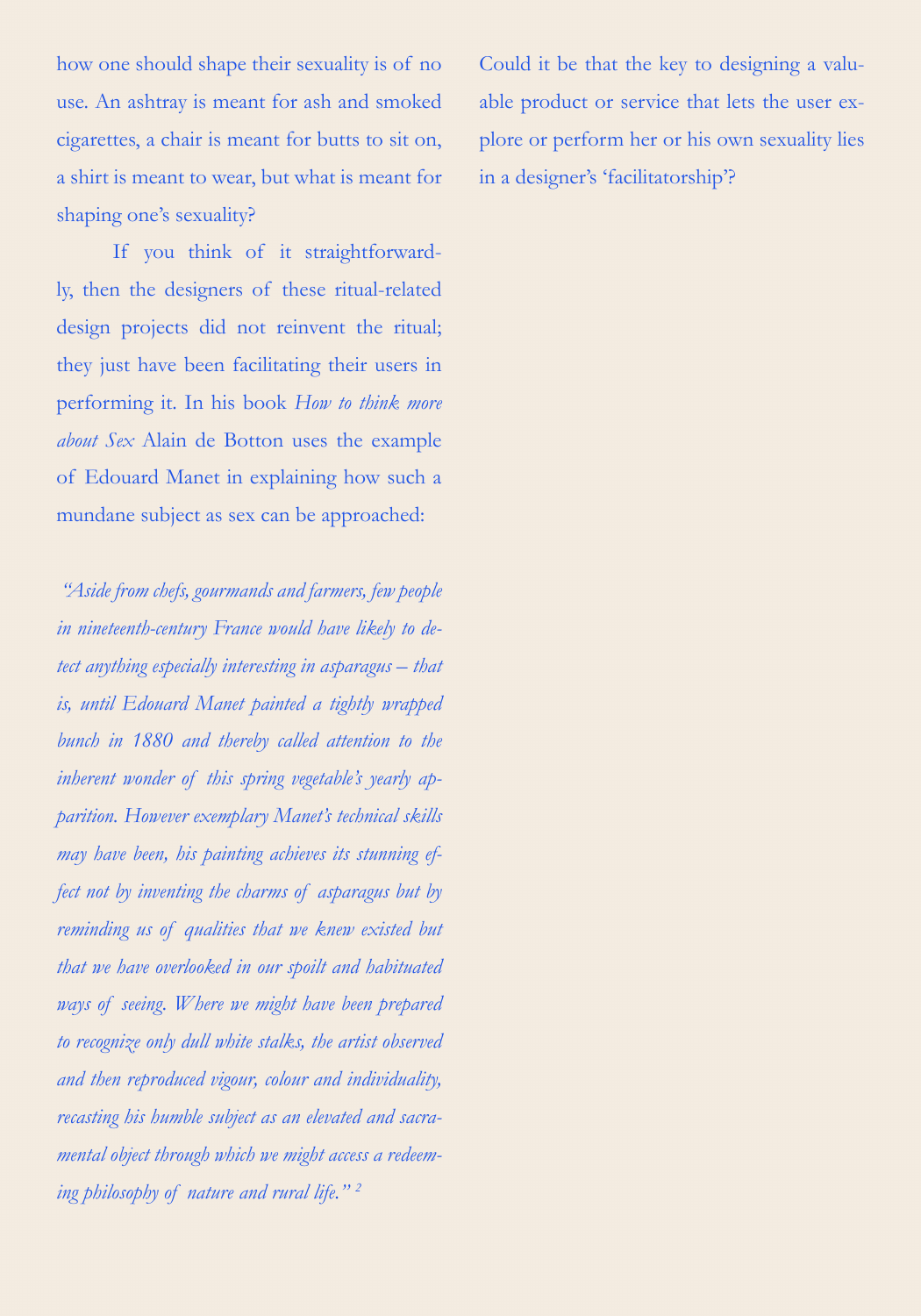how one should shape their sexuality is of no use. An ashtray is meant for ash and smoked cigarettes, a chair is meant for butts to sit on, a shirt is meant to wear, but what is meant for shaping one's sexuality?

If you think of it straightforwardly, then the designers of these ritual-related design projects did not reinvent the ritual; they just have been facilitating their users in performing it. In his book *How to think more about Sex* Alain de Botton uses the example of Edouard Manet in explaining how such a mundane subject as sex can be approached:

 *"Aside from chefs, gourmands and farmers, few people in nineteenth-century France would have likely to detect anything especially interesting in asparagus – that is, until Edouard Manet painted a tightly wrapped bunch in 1880 and thereby called attention to the inherent wonder of this spring vegetable's yearly apparition. However exemplary Manet's technical skills may have been, his painting achieves its stunning effect not by inventing the charms of asparagus but by reminding us of qualities that we knew existed but that we have overlooked in our spoilt and habituated ways of seeing. Where we might have been prepared to recognize only dull white stalks, the artist observed and then reproduced vigour, colour and individuality, recasting his humble subject as an elevated and sacramental object through which we might access a redeeming philosophy of nature and rural life." 2*

Could it be that the key to designing a valuable product or service that lets the user explore or perform her or his own sexuality lies in a designer's 'facilitatorship'?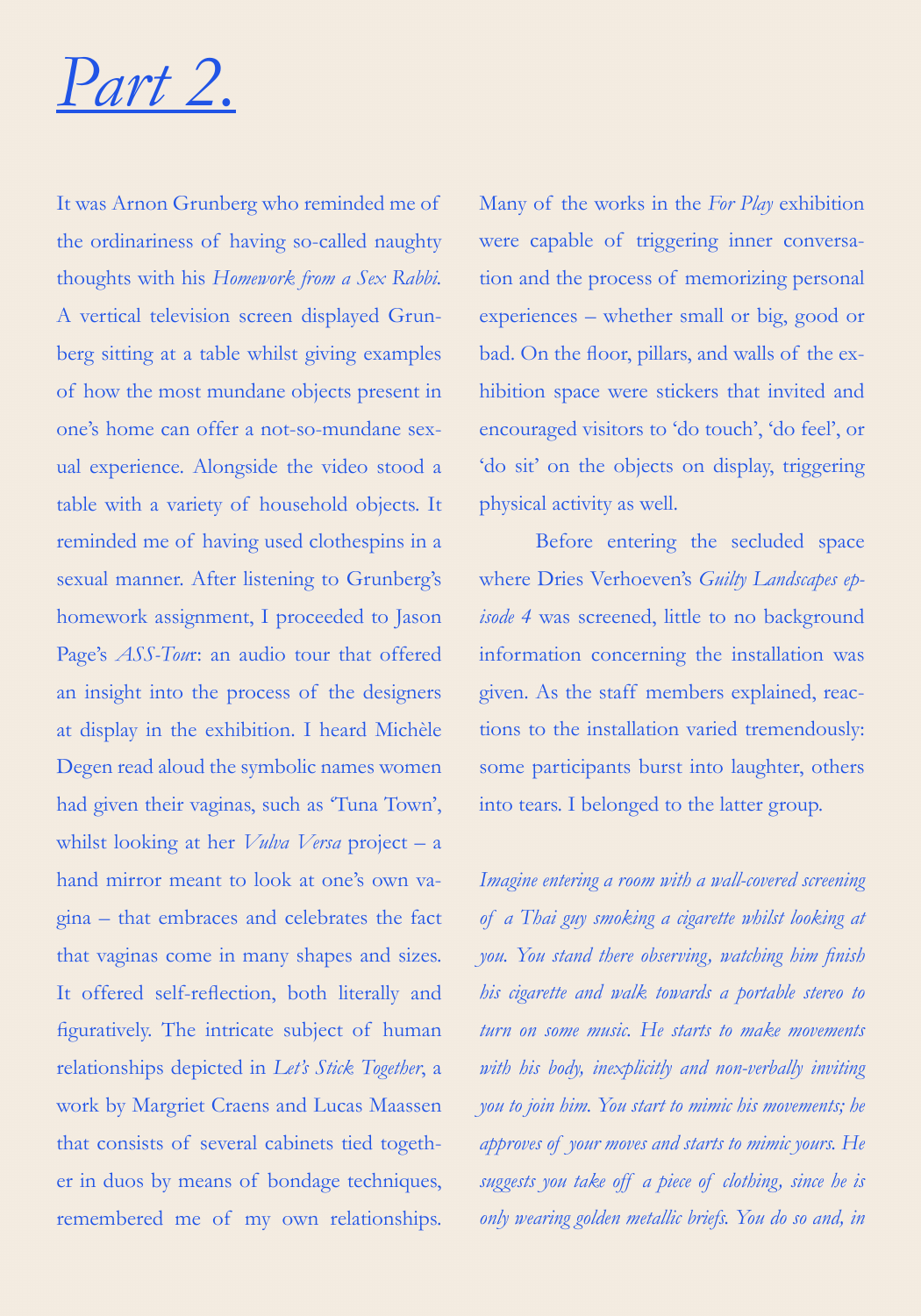

It was Arnon Grunberg who reminded me of the ordinariness of having so-called naughty thoughts with his *Homework from a Sex Rabbi.* A vertical television screen displayed Grunberg sitting at a table whilst giving examples of how the most mundane objects present in one's home can offer a not-so-mundane sexual experience. Alongside the video stood a table with a variety of household objects. It reminded me of having used clothespins in a sexual manner. After listening to Grunberg's homework assignment, I proceeded to Jason Page's *ASS-Tou*r: an audio tour that offered an insight into the process of the designers at display in the exhibition. I heard Michèle Degen read aloud the symbolic names women had given their vaginas, such as 'Tuna Town', whilst looking at her *Vulva Versa* project – a hand mirror meant to look at one's own vagina – that embraces and celebrates the fact that vaginas come in many shapes and sizes. It offered self-reflection, both literally and figuratively. The intricate subject of human relationships depicted in *Let's Stick Together*, a work by Margriet Craens and Lucas Maassen that consists of several cabinets tied together in duos by means of bondage techniques, remembered me of my own relationships.

Many of the works in the *For Play* exhibition were capable of triggering inner conversation and the process of memorizing personal experiences – whether small or big, good or bad. On the floor, pillars, and walls of the exhibition space were stickers that invited and encouraged visitors to 'do touch', 'do feel', or 'do sit' on the objects on display, triggering physical activity as well.

Before entering the secluded space where Dries Verhoeven's *Guilty Landscapes episode 4* was screened, little to no background information concerning the installation was given. As the staff members explained, reactions to the installation varied tremendously: some participants burst into laughter, others into tears. I belonged to the latter group.

*Imagine entering a room with a wall-covered screening of a Thai guy smoking a cigarette whilst looking at you. You stand there observing, watching him finish his cigarette and walk towards a portable stereo to turn on some music. He starts to make movements with his body, inexplicitly and non-verbally inviting you to join him. You start to mimic his movements; he approves of your moves and starts to mimic yours. He suggests you take off a piece of clothing, since he is only wearing golden metallic briefs. You do so and, in*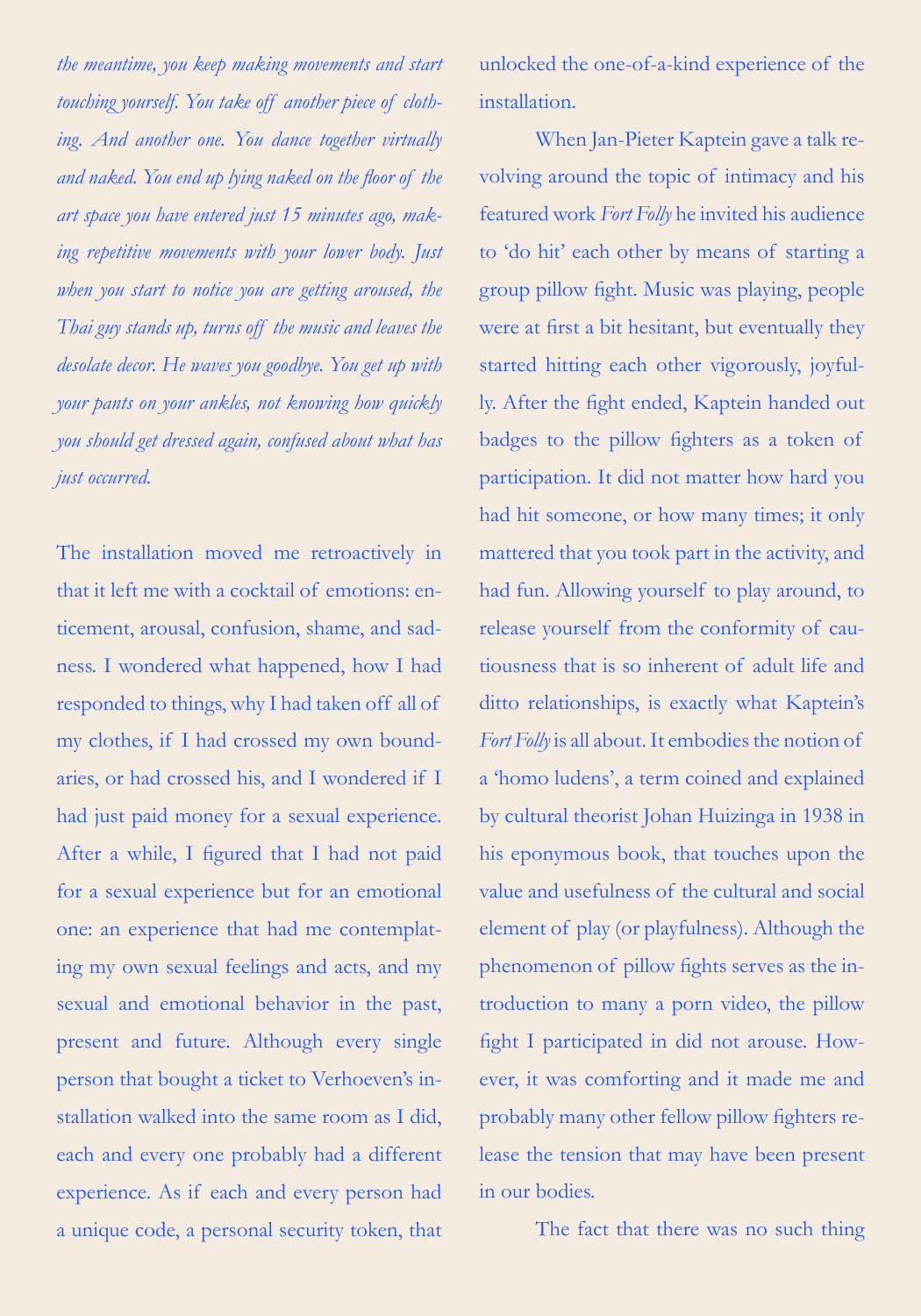*the meantime, you keep making movements and start touching yourself. You take off another piece of clothing. And another one. You dance together virtually and naked. You end up lying naked on the floor of the art space you have entered just 15 minutes ago, making repetitive movements with your lower body. Just when you start to notice you are getting aroused, the Thai guy stands up, turns off the music and leaves the desolate decor. He waves you goodbye. You get up with your pants on your ankles, not knowing how quickly you should get dressed again, confused about what has just occurred.* 

The installation moved me retroactively in that it left me with a cocktail of emotions: enticement, arousal, confusion, shame, and sadness. I wondered what happened, how I had responded to things, why I had taken off all of my clothes, if I had crossed my own boundaries, or had crossed his, and I wondered if I had just paid money for a sexual experience. After a while, I figured that I had not paid for a sexual experience but for an emotional one: an experience that had me contemplating my own sexual feelings and acts, and my sexual and emotional behavior in the past, present and future. Although every single person that bought a ticket to Verhoeven's installation walked into the same room as I did, each and every one probably had a different experience. As if each and every person had a unique code, a personal security token, that unlocked the one-of-a-kind experience of the installation.

When Jan-Pieter Kaptein gave a talk revolving around the topic of intimacy and his featured work *Fort Folly* he invited his audience to 'do hit' each other by means of starting a group pillow fight. Music was playing, people were at first a bit hesitant, but eventually they started hitting each other vigorously, joyfully. After the fight ended, Kaptein handed out badges to the pillow fighters as a token of participation. It did not matter how hard you had hit someone, or how many times; it only mattered that you took part in the activity, and had fun. Allowing yourself to play around, to release yourself from the conformity of cautiousness that is so inherent of adult life and ditto relationships, is exactly what Kaptein's *Fort Folly* is all about. It embodies the notion of a 'homo ludens', a term coined and explained by cultural theorist Johan Huizinga in 1938 in his eponymous book, that touches upon the value and usefulness of the cultural and social element of play (or playfulness). Although the phenomenon of pillow fights serves as the introduction to many a porn video, the pillow fight I participated in did not arouse. However, it was comforting and it made me and probably many other fellow pillow fighters release the tension that may have been present in our bodies.

The fact that there was no such thing